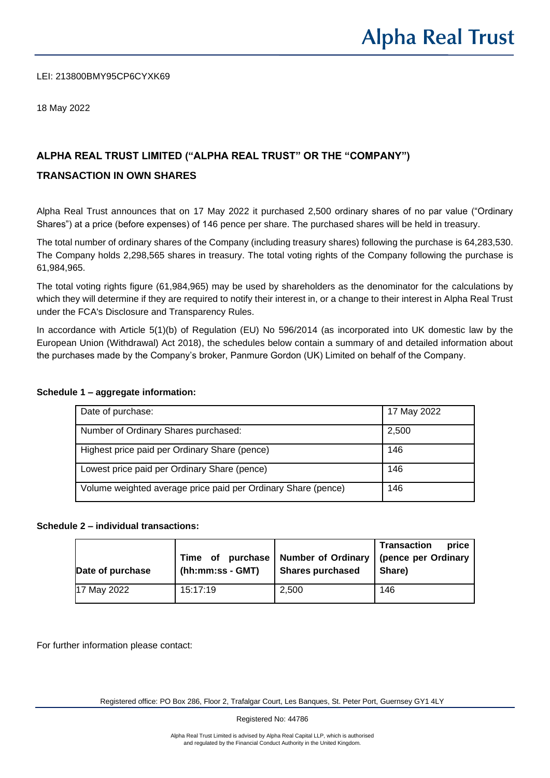LEI: 213800BMY95CP6CYXK69

18 May 2022

# **ALPHA REAL TRUST LIMITED ("ALPHA REAL TRUST" OR THE "COMPANY")**

## **TRANSACTION IN OWN SHARES**

Alpha Real Trust announces that on 17 May 2022 it purchased 2,500 ordinary shares of no par value ("Ordinary Shares") at a price (before expenses) of 146 pence per share. The purchased shares will be held in treasury.

The total number of ordinary shares of the Company (including treasury shares) following the purchase is 64,283,530. The Company holds 2,298,565 shares in treasury. The total voting rights of the Company following the purchase is 61,984,965.

The total voting rights figure (61,984,965) may be used by shareholders as the denominator for the calculations by which they will determine if they are required to notify their interest in, or a change to their interest in Alpha Real Trust under the FCA's Disclosure and Transparency Rules.

In accordance with Article 5(1)(b) of Regulation (EU) No 596/2014 (as incorporated into UK domestic law by the European Union (Withdrawal) Act 2018), the schedules below contain a summary of and detailed information about the purchases made by the Company's broker, Panmure Gordon (UK) Limited on behalf of the Company.

| Date of purchase:                                             | 17 May 2022 |
|---------------------------------------------------------------|-------------|
|                                                               |             |
| Number of Ordinary Shares purchased:                          | 2,500       |
| Highest price paid per Ordinary Share (pence)                 | 146         |
| Lowest price paid per Ordinary Share (pence)                  | 146         |
| Volume weighted average price paid per Ordinary Share (pence) | 146         |

#### **Schedule 1 – aggregate information:**

#### **Schedule 2 – individual transactions:**

| Date of purchase | Time of purchase<br>$(hh:mm:ss - GMT)$ | <b>Number of Ordinary</b><br><b>Shares purchased</b> | price<br><b>Transaction</b><br>(pence per Ordinary<br>Share) |
|------------------|----------------------------------------|------------------------------------------------------|--------------------------------------------------------------|
| 17 May 2022      | 15:17:19                               | 2,500                                                | 146                                                          |

For further information please contact: